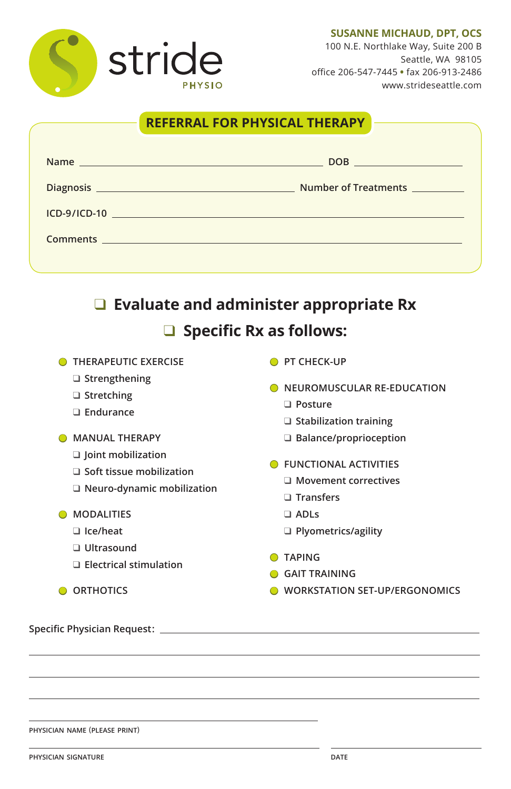#### **SUSANNE MICHAUD, DPT, OCS**

stride **PHYSIO** 

100 N.E. Northlake Way, Suite 200 B Seattle, WA 98105 office 206-547-7445 **•** fax 206-913-2486 www.strideseattle.com

## **REFERRAL FOR PHYSICAL THERAPY**

| DOB                  |
|----------------------|
| Number of Treatments |
|                      |
|                      |
|                      |

# ❑ **Evaluate and administer appropriate Rx** ❑ **Specific Rx as follows:**

**O** THERAPEUTIC EXERCISE

- ❑ **Strengthening**
- ❑ **Stretching**
- ❑ **Endurance**
- **MANUAL THERAPY**
	- ❑ **Joint mobilization**
	- ❑ **Soft tissue mobilization**
	- ❑ **Neuro-dynamic mobilization**

● **MODALITIES**

- ❑ **Ice/heat**
- ❑ **Ultrasound**
- ❑ **Electrical stimulation**
- **O** ORTHOTICS
- **Specific Physician Request:**

- **physician name** (**please print**)
- **physician signature**

- **PT CHECK-UP**
- **O NEUROMUSCULAR RE-EDUCATION** 
	- ❑ **Posture**
	- ❑ **Stabilization training**
	- ❑ **Balance/proprioception**
- **O** FUNCTIONAL ACTIVITIES
	- ❑ **Movement correctives**
	- ❑ **Transfers**
	- ❑ **ADLs**
	- ❑ **Plyometrics/agility**
- **TAPING**

- **GAIT TRAINING**
- **O** WORKSTATION SET-UP/ERGONOMICS